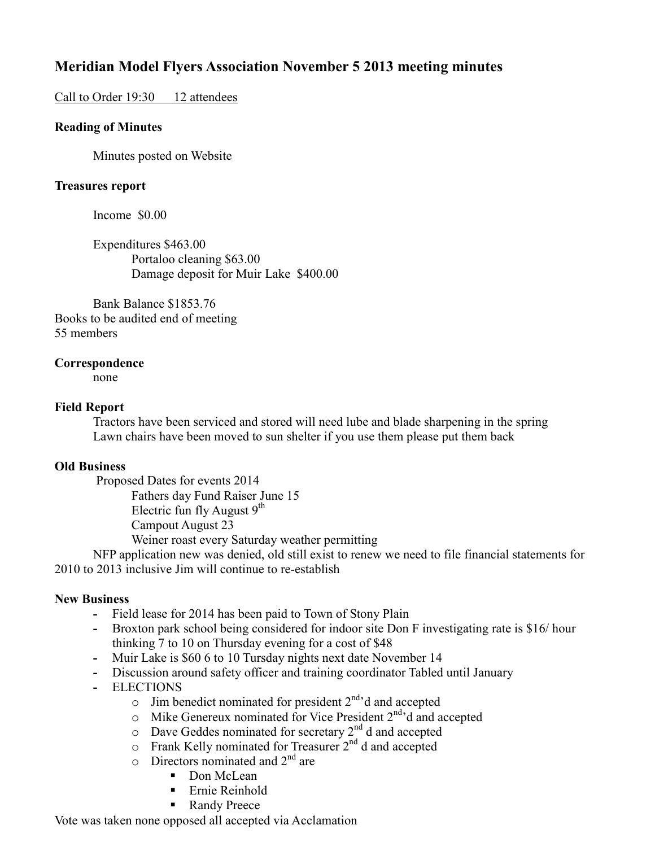# **Meridian Model Flyers Association November 5 2013 meeting minutes**

## Call to Order 19:30 12 attendees

### **Reading of Minutes**

Minutes posted on Website

#### **Treasures report**

Income \$0.00

 Expenditures \$463.00 Portaloo cleaning \$63.00 Damage deposit for Muir Lake \$400.00

 Bank Balance \$1853.76 Books to be audited end of meeting 55 members

#### **Correspondence**

none

#### **Field Report**

 Tractors have been serviced and stored will need lube and blade sharpening in the spring Lawn chairs have been moved to sun shelter if you use them please put them back

## **Old Business**

Proposed Dates for events 2014

Fathers day Fund Raiser June 15

Electric fun fly August  $9<sup>th</sup>$ 

Campout August 23

Weiner roast every Saturday weather permitting

 NFP application new was denied, old still exist to renew we need to file financial statements for 2010 to 2013 inclusive Jim will continue to re-establish

## **New Business**

- Field lease for 2014 has been paid to Town of Stony Plain
- **-** Broxton park school being considered for indoor site Don F investigating rate is \$16/ hour thinking 7 to 10 on Thursday evening for a cost of \$48
- **-** Muir Lake is \$60 6 to 10 Tursday nights next date November 14
- **-** Discussion around safety officer and training coordinator Tabled until January
- **-** ELECTIONS
	- $\circ$  Jim benedict nominated for president  $2^{nd}$ <sup>d</sup> and accepted
		- $\circ$  Mike Genereux nominated for Vice President  $2^{nd}$  d and accepted
	- $\circ$  Dave Geddes nominated for secretary  $2^{nd}$  d and accepted
	- $\circ$  Frank Kelly nominated for Treasurer  $2<sup>nd</sup>$  d and accepted
	- $\circ$  Directors nominated and  $2<sup>nd</sup>$  are
		- Don McLean
		- **Ernie Reinhold**
		- Randy Preece

Vote was taken none opposed all accepted via Acclamation